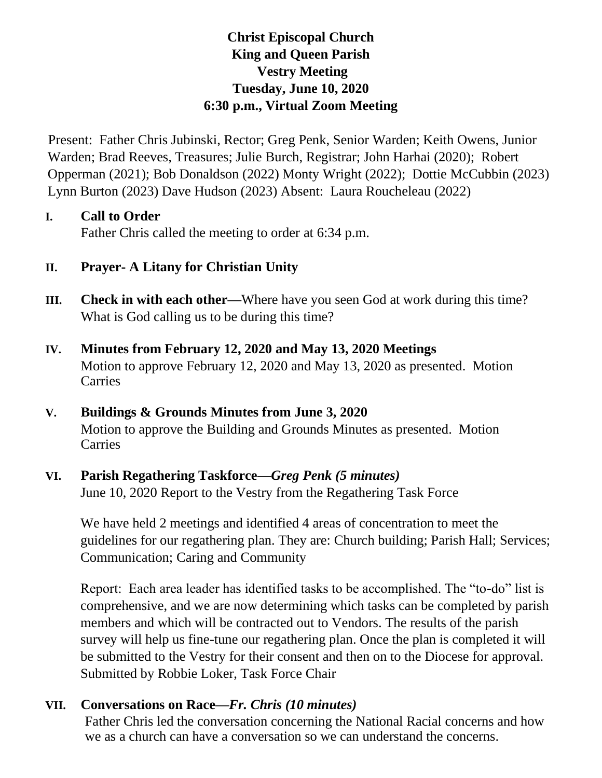# **Christ Episcopal Church King and Queen Parish Vestry Meeting Tuesday, June 10, 2020 6:30 p.m., Virtual Zoom Meeting**

Present: Father Chris Jubinski, Rector; Greg Penk, Senior Warden; Keith Owens, Junior Warden; Brad Reeves, Treasures; Julie Burch, Registrar; John Harhai (2020); Robert Opperman (2021); Bob Donaldson (2022) Monty Wright (2022); Dottie McCubbin (2023) Lynn Burton (2023) Dave Hudson (2023) Absent: Laura Roucheleau (2022)

### **I. Call to Order**

Father Chris called the meeting to order at 6:34 p.m.

### **II. Prayer- A Litany for Christian Unity**

- **III. Check in with each other—**Where have you seen God at work during this time? What is God calling us to be during this time?
- **IV. Minutes from February 12, 2020 and May 13, 2020 Meetings** Motion to approve February 12, 2020 and May 13, 2020 as presented. Motion Carries

### **V. Buildings & Grounds Minutes from June 3, 2020** Motion to approve the Building and Grounds Minutes as presented. Motion Carries

# **VI. Parish Regathering Taskforce***—Greg Penk (5 minutes)*

June 10, 2020 Report to the Vestry from the Regathering Task Force

We have held 2 meetings and identified 4 areas of concentration to meet the guidelines for our regathering plan. They are: Church building; Parish Hall; Services; Communication; Caring and Community

Report: Each area leader has identified tasks to be accomplished. The "to-do" list is comprehensive, and we are now determining which tasks can be completed by parish members and which will be contracted out to Vendors. The results of the parish survey will help us fine-tune our regathering plan. Once the plan is completed it will be submitted to the Vestry for their consent and then on to the Diocese for approval. Submitted by Robbie Loker, Task Force Chair

# **VII. Conversations on Race***—Fr. Chris (10 minutes)*

Father Chris led the conversation concerning the National Racial concerns and how we as a church can have a conversation so we can understand the concerns.